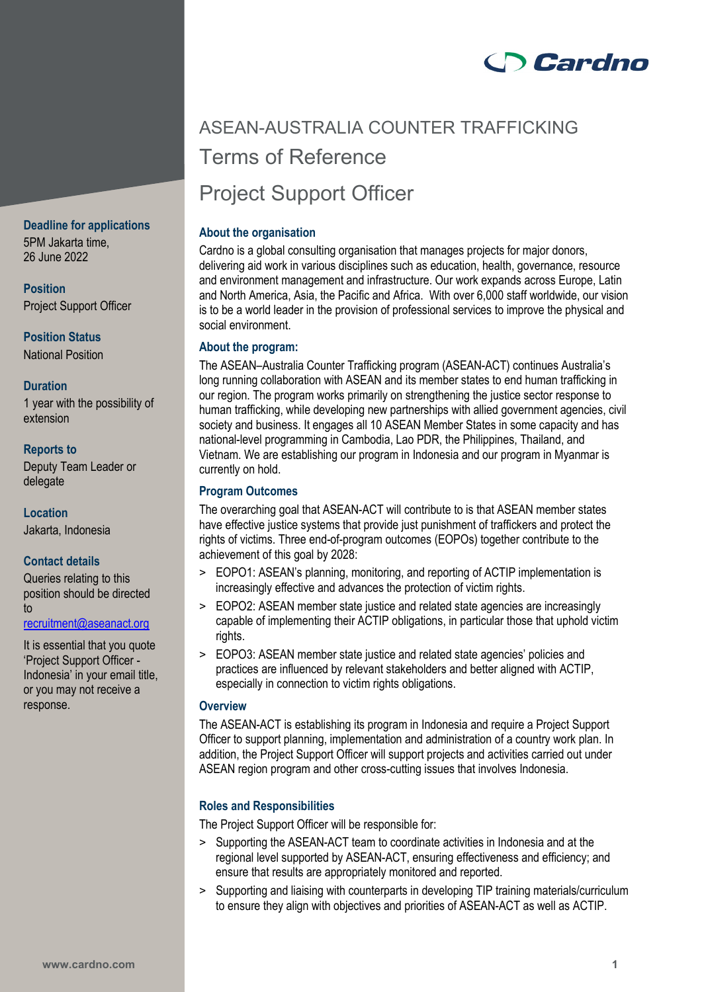

# ASEAN-AUSTRALIA COUNTER TRAFFICKING Terms of Reference Project Support Officer

# **About the organisation**

Cardno is a global consulting organisation that manages projects for major donors, delivering aid work in various disciplines such as education, health, governance, resource and environment management and infrastructure. Our work expands across Europe, Latin and North America, Asia, the Pacific and Africa. With over 6,000 staff worldwide, our vision is to be a world leader in the provision of professional services to improve the physical and social environment.

# **About the program:**

The ASEAN–Australia Counter Trafficking program (ASEAN-ACT) continues Australia's long running collaboration with ASEAN and its member states to end human trafficking in our region. The program works primarily on strengthening the justice sector response to human trafficking, while developing new partnerships with allied government agencies, civil society and business. It engages all 10 ASEAN Member States in some capacity and has national-level programming in Cambodia, Lao PDR, the Philippines, Thailand, and Vietnam. We are establishing our program in Indonesia and our program in Myanmar is currently on hold.

# **Program Outcomes**

The overarching goal that ASEAN-ACT will contribute to is that ASEAN member states have effective justice systems that provide just punishment of traffickers and protect the rights of victims. Three end-of-program outcomes (EOPOs) together contribute to the achievement of this goal by 2028:

- > EOPO1: ASEAN's planning, monitoring, and reporting of ACTIP implementation is increasingly effective and advances the protection of victim rights.
- > EOPO2: ASEAN member state justice and related state agencies are increasingly capable of implementing their ACTIP obligations, in particular those that uphold victim rights.
- > EOPO3: ASEAN member state justice and related state agencies' policies and practices are influenced by relevant stakeholders and better aligned with ACTIP, especially in connection to victim rights obligations.

# **Overview**

The ASEAN-ACT is establishing its program in Indonesia and require a Project Support Officer to support planning, implementation and administration of a country work plan. In addition, the Project Support Officer will support projects and activities carried out under ASEAN region program and other cross-cutting issues that involves Indonesia.

# **Roles and Responsibilities**

The Project Support Officer will be responsible for:

- > Supporting the ASEAN-ACT team to coordinate activities in Indonesia and at the regional level supported by ASEAN-ACT, ensuring effectiveness and efficiency; and ensure that results are appropriately monitored and reported.
- > Supporting and liaising with counterparts in developing TIP training materials/curriculum to ensure they align with objectives and priorities of ASEAN-ACT as well as ACTIP.

# **Deadline for applications**

5PM Jakarta time, 26 June 2022

**Position** Project Support Officer

**Position Status** National Position

# **Duration**

1 year with the possibility of extension

# **Reports to**

Deputy Team Leader or delegate

**Location** Jakarta, Indonesia

# **Contact details**

Queries relating to this position should be directed to

[recruitment@aseanact.org](mailto:recruitment@aseanact.org) 

It is essential that you quote 'Project Support Officer - Indonesia' in your email title, or you may not receive a response.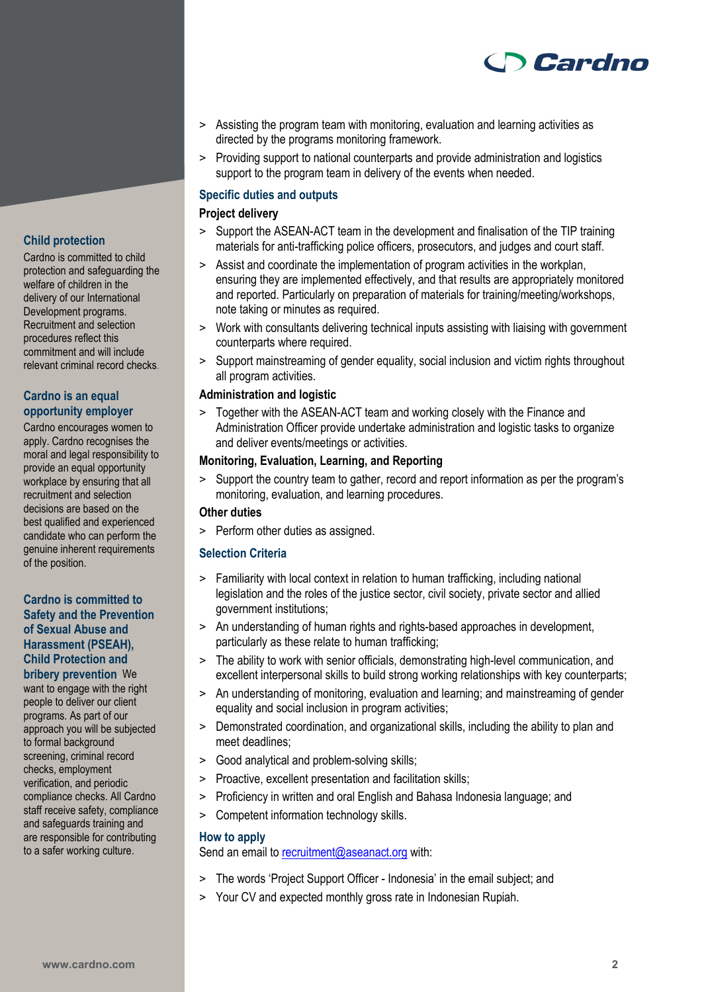

- > Assisting the program team with monitoring, evaluation and learning activities as directed by the programs monitoring framework.
- > Providing support to national counterparts and provide administration and logistics support to the program team in delivery of the events when needed.

#### **Specific duties and outputs**

# **Project delivery**

- > Support the ASEAN-ACT team in the development and finalisation of the TIP training materials for anti-trafficking police officers, prosecutors, and judges and court staff.
- > Assist and coordinate the implementation of program activities in the workplan, ensuring they are implemented effectively, and that results are appropriately monitored and reported. Particularly on preparation of materials for training/meeting/workshops, note taking or minutes as required.
- > Work with consultants delivering technical inputs assisting with liaising with government counterparts where required.
- > Support mainstreaming of gender equality, social inclusion and victim rights throughout all program activities.

#### **Administration and logistic**

> Together with the ASEAN-ACT team and working closely with the Finance and Administration Officer provide undertake administration and logistic tasks to organize and deliver events/meetings or activities.

# **Monitoring, Evaluation, Learning, and Reporting**

> Support the country team to gather, record and report information as per the program's monitoring, evaluation, and learning procedures.

# **Other duties**

> Perform other duties as assigned.

#### **Selection Criteria**

- > Familiarity with local context in relation to human trafficking, including national legislation and the roles of the justice sector, civil society, private sector and allied government institutions;
- > An understanding of human rights and rights-based approaches in development, particularly as these relate to human trafficking;
- > The ability to work with senior officials, demonstrating high-level communication, and excellent interpersonal skills to build strong working relationships with key counterparts;
- > An understanding of monitoring, evaluation and learning; and mainstreaming of gender equality and social inclusion in program activities;
- > Demonstrated coordination, and organizational skills, including the ability to plan and meet deadlines;
- > Good analytical and problem-solving skills;
- > Proactive, excellent presentation and facilitation skills;
- > Proficiency in written and oral English and Bahasa Indonesia language; and
- > Competent information technology skills.

#### **How to apply**

Send an email to [recruitment@aseanact.org](mailto:recruitment@aseanact.org) with:

- > The words 'Project Support Officer Indonesia' in the email subject; and
- > Your CV and expected monthly gross rate in Indonesian Rupiah.

# **Child protection**

Cardno is committed to child protection and safeguarding the welfare of children in the delivery of our International Development programs. Recruitment and selection procedures reflect this commitment and will include relevant criminal record checks.

#### **Cardno is an equal opportunity employer**

Cardno encourages women to apply. Cardno recognises the moral and legal responsibility to provide an equal opportunity workplace by ensuring that all recruitment and selection decisions are based on the best qualified and experienced candidate who can perform the genuine inherent requirements of the position.

# **Cardno is committed to Safety and the Prevention of Sexual Abuse and Harassment (PSEAH), Child Protection and bribery prevention**. We

want to engage with the right people to deliver our client programs. As part of our approach you will be subjected to formal background screening, criminal record checks, employment verification, and periodic compliance checks. All Cardno staff receive safety, compliance and safeguards training and are responsible for contributing to a safer working culture.